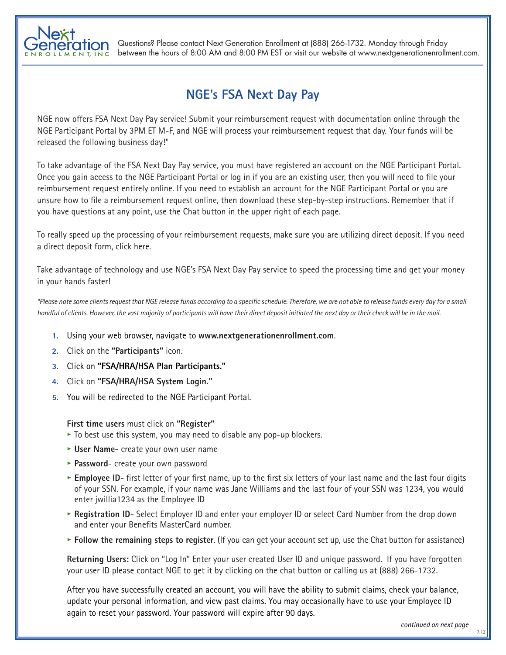

Questions? Please contact Next Generation Enrollment at (888) 266-1732. Monday through Friday between the hours of 8:00 AM and 8:00 PM EST or visit our website at www.nextgenerationenrollment.com.

## **NGE's FSA Next Day Pay**

NGE now offers FSA Next Day Pay service! Submit your reimbursement request with documentation online through the NGE Participant Portal by 3PM ET M-F, and NGE will process your reimbursement request that day. Your funds will be released the following business day!\*

To take advantage of the FSA Next Day Pay service, you must have registered an account on the NGE Participant Portal. Once you gain access to the NGE Participant Portal or log in if you are an existing user, then you will need to file your reimbursement request entirely online. If you need to establish an account for the NGE Participant Portal or you are unsure how to file a reimbursement request online, then download these step-by-step instructions. Remember that if you have questions at any point, use the Chat button in the upper right of each page.

To really speed up the processing of your reimbursement requests, make sure you are utilizing direct deposit. If you need a direct deposit form, click here.

Take advantage of technology and use NGE's FSA Next Day Pay service to speed the processing time and get your money in your hands faster!

*\*Please note some clients request that NGE release funds according to a specific schedule. Therefore, we are not able to release funds every day for a small handful of clients. However, the vast majority of participants will have their direct deposit initiated the next day or their check will be in the mail.*

- **1.** Using your web browser, navigate to **www.nextgenerationenrollment.com**.
- **2.** Click on the **"Participants"** icon.
- **3.** Click on **"FSA/HRA/HSA Plan Participants."**
- **4.** Click on **"FSA/HRA/HSA System Login."**
- **5.** You will be redirected to the NGE Participant Portal.

**First time users** must click on **"Register"**

- **•** To best use this system, you may need to disable any pop-up blockers.
- **• User Name** create your own user name
- **• Password** create your own password
- **• Employee ID** first letter of your first name, up to the first six letters of your last name and the last four digits of your SSN. For example, if your name was Jane Williams and the last four of your SSN was 1234, you would enter jwillia1234 as the Employee ID
- **• Registration ID** Select Employer ID and enter your employer ID or select Card Number from the drop down and enter your Benefits MasterCard number.
- **• Follow the remaining steps to register**. (If you can get your account set up, use the Chat button for assistance)

**Returning Users:** Click on "Log In" Enter your user created User ID and unique password. If you have forgotten your user ID please contact NGE to get it by clicking on the chat button or calling us at (888) 266-1732.

After you have successfully created an account, you will have the ability to submit claims, check your balance, update your personal information, and view past claims. You may occasionally have to use your Employee ID again to reset your password. Your password will expire after 90 days.